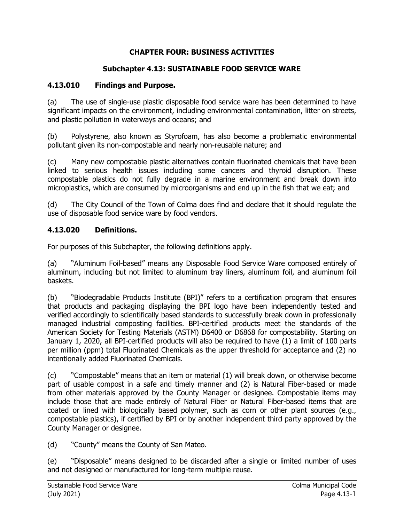# **CHAPTER FOUR: BUSINESS ACTIVITIES**

# **Subchapter 4.13: SUSTAINABLE FOOD SERVICE WARE**

# **4.13.010 Findings and Purpose.**

(a) The use of single-use plastic disposable food service ware has been determined to have significant impacts on the environment, including environmental contamination, litter on streets, and plastic pollution in waterways and oceans; and

(b) Polystyrene, also known as Styrofoam, has also become a problematic environmental pollutant given its non-compostable and nearly non-reusable nature; and

(c) Many new compostable plastic alternatives contain fluorinated chemicals that have been linked to serious health issues including some cancers and thyroid disruption. These compostable plastics do not fully degrade in a marine environment and break down into microplastics, which are consumed by microorganisms and end up in the fish that we eat; and

(d) The City Council of the Town of Colma does find and declare that it should regulate the use of disposable food service ware by food vendors.

# **4.13.020 Definitions.**

For purposes of this Subchapter, the following definitions apply.

(a) "Aluminum Foil-based" means any Disposable Food Service Ware composed entirely of aluminum, including but not limited to aluminum tray liners, aluminum foil, and aluminum foil baskets.

(b) "Biodegradable Products Institute (BPI)" refers to a certification program that ensures that products and packaging displaying the BPI logo have been independently tested and verified accordingly to scientifically based standards to successfully break down in professionally managed industrial composting facilities. BPI-certified products meet the standards of the American Society for Testing Materials (ASTM) D6400 or D6868 for compostability. Starting on January 1, 2020, all BPI-certified products will also be required to have (1) a limit of 100 parts per million (ppm) total Fluorinated Chemicals as the upper threshold for acceptance and (2) no intentionally added Fluorinated Chemicals.

(c) "Compostable" means that an item or material (1) will break down, or otherwise become part of usable compost in a safe and timely manner and (2) is Natural Fiber-based or made from other materials approved by the County Manager or designee. Compostable items may include those that are made entirely of Natural Fiber or Natural Fiber-based items that are coated or lined with biologically based polymer, such as corn or other plant sources (e.g., compostable plastics), if certified by BPI or by another independent third party approved by the County Manager or designee.

(d) "County" means the County of San Mateo.

(e) "Disposable" means designed to be discarded after a single or limited number of uses and not designed or manufactured for long-term multiple reuse.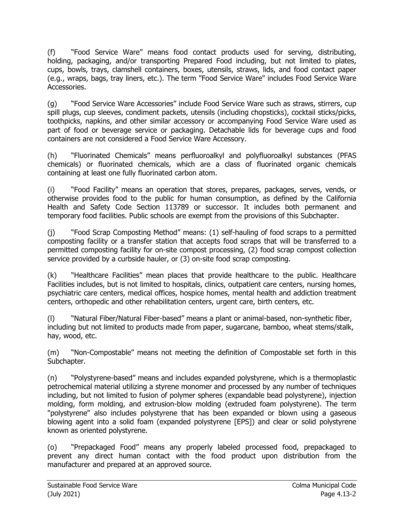(f) "Food Service Ware" means food contact products used for serving, distributing, holding, packaging, and/or transporting Prepared Food including, but not limited to plates, cups, bowls, trays, clamshell containers, boxes, utensils, straws, lids, and food contact paper (e.g., wraps, bags, tray liners, etc.). The term "Food Service Ware" includes Food Service Ware Accessories.

(g) "Food Service Ware Accessories" include Food Service Ware such as straws, stirrers, cup spill plugs, cup sleeves, condiment packets, utensils (including chopsticks), cocktail sticks/picks, toothpicks, napkins, and other similar accessory or accompanying Food Service Ware used as part of food or beverage service or packaging. Detachable lids for beverage cups and food containers are not considered a Food Service Ware Accessory.

(h) "Fluorinated Chemicals" means perfluoroalkyl and polyfluoroalkyl substances (PFAS chemicals) or fluorinated chemicals, which are a class of fluorinated organic chemicals containing at least one fully fluorinated carbon atom.

(i) "Food Facility" means an operation that stores, prepares, packages, serves, vends, or otherwise provides food to the public for human consumption, as defined by the California Health and Safety Code Section 113789 or successor. It includes both permanent and temporary food facilities. Public schools are exempt from the provisions of this Subchapter.

(j) "Food Scrap Composting Method" means: (1) self-hauling of food scraps to a permitted composting facility or a transfer station that accepts food scraps that will be transferred to a permitted composting facility for on-site compost processing, (2) food scrap compost collection service provided by a curbside hauler, or (3) on-site food scrap composting.

(k) "Healthcare Facilities" mean places that provide healthcare to the public. Healthcare Facilities includes, but is not limited to hospitals, clinics, outpatient care centers, nursing homes, psychiatric care centers, medical offices, hospice homes, mental health and addiction treatment centers, orthopedic and other rehabilitation centers, urgent care, birth centers, etc.

(l) "Natural Fiber/Natural Fiber-based" means a plant or animal-based, non-synthetic fiber, including but not limited to products made from paper, sugarcane, bamboo, wheat stems/stalk, hay, wood, etc.

(m) "Non-Compostable" means not meeting the definition of Compostable set forth in this Subchapter.

(n) "Polystyrene-based" means and includes expanded polystyrene, which is a thermoplastic petrochemical material utilizing a styrene monomer and processed by any number of techniques including, but not limited to fusion of polymer spheres (expandable bead polystyrene), injection molding, form molding, and extrusion-blow molding (extruded foam polystyrene). The term "polystyrene" also includes polystyrene that has been expanded or blown using a gaseous blowing agent into a solid foam (expanded polystyrene [EPS]) and clear or solid polystyrene known as oriented polystyrene.

(o) "Prepackaged Food" means any properly labeled processed food, prepackaged to prevent any direct human contact with the food product upon distribution from the manufacturer and prepared at an approved source.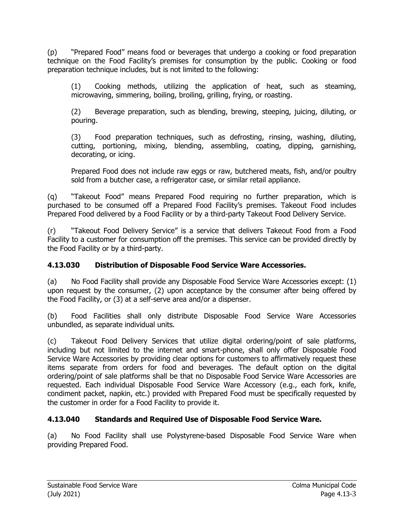(p) "Prepared Food" means food or beverages that undergo a cooking or food preparation technique on the Food Facility's premises for consumption by the public. Cooking or food preparation technique includes, but is not limited to the following:

(1) Cooking methods, utilizing the application of heat, such as steaming, microwaving, simmering, boiling, broiling, grilling, frying, or roasting.

(2) Beverage preparation, such as blending, brewing, steeping, juicing, diluting, or pouring.

(3) Food preparation techniques, such as defrosting, rinsing, washing, diluting, cutting, portioning, mixing, blending, assembling, coating, dipping, garnishing, decorating, or icing.

Prepared Food does not include raw eggs or raw, butchered meats, fish, and/or poultry sold from a butcher case, a refrigerator case, or similar retail appliance.

(q) "Takeout Food" means Prepared Food requiring no further preparation, which is purchased to be consumed off a Prepared Food Facility's premises. Takeout Food includes Prepared Food delivered by a Food Facility or by a third-party Takeout Food Delivery Service.

(r) "Takeout Food Delivery Service" is a service that delivers Takeout Food from a Food Facility to a customer for consumption off the premises. This service can be provided directly by the Food Facility or by a third-party.

# **4.13.030 Distribution of Disposable Food Service Ware Accessories.**

(a) No Food Facility shall provide any Disposable Food Service Ware Accessories except: (1) upon request by the consumer, (2) upon acceptance by the consumer after being offered by the Food Facility, or (3) at a self-serve area and/or a dispenser.

(b) Food Facilities shall only distribute Disposable Food Service Ware Accessories unbundled, as separate individual units.

(c) Takeout Food Delivery Services that utilize digital ordering/point of sale platforms, including but not limited to the internet and smart-phone, shall only offer Disposable Food Service Ware Accessories by providing clear options for customers to affirmatively request these items separate from orders for food and beverages. The default option on the digital ordering/point of sale platforms shall be that no Disposable Food Service Ware Accessories are requested. Each individual Disposable Food Service Ware Accessory (e.g., each fork, knife, condiment packet, napkin, etc.) provided with Prepared Food must be specifically requested by the customer in order for a Food Facility to provide it.

# **4.13.040 Standards and Required Use of Disposable Food Service Ware.**

(a) No Food Facility shall use Polystyrene-based Disposable Food Service Ware when providing Prepared Food.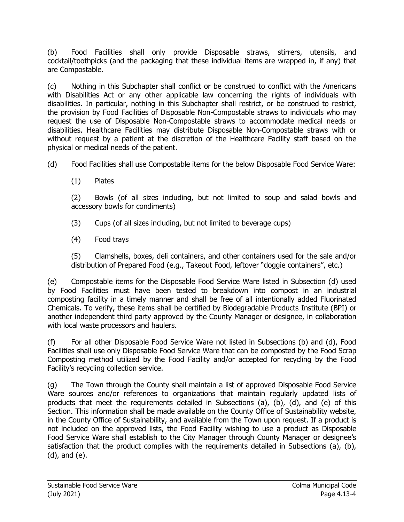(b) Food Facilities shall only provide Disposable straws, stirrers, utensils, and cocktail/toothpicks (and the packaging that these individual items are wrapped in, if any) that are Compostable.

(c) Nothing in this Subchapter shall conflict or be construed to conflict with the Americans with Disabilities Act or any other applicable law concerning the rights of individuals with disabilities. In particular, nothing in this Subchapter shall restrict, or be construed to restrict, the provision by Food Facilities of Disposable Non-Compostable straws to individuals who may request the use of Disposable Non-Compostable straws to accommodate medical needs or disabilities. Healthcare Facilities may distribute Disposable Non-Compostable straws with or without request by a patient at the discretion of the Healthcare Facility staff based on the physical or medical needs of the patient.

(d) Food Facilities shall use Compostable items for the below Disposable Food Service Ware:

(1) Plates

(2) Bowls (of all sizes including, but not limited to soup and salad bowls and accessory bowls for condiments)

- (3) Cups (of all sizes including, but not limited to beverage cups)
- (4) Food trays

(5) Clamshells, boxes, deli containers, and other containers used for the sale and/or distribution of Prepared Food (e.g., Takeout Food, leftover "doggie containers", etc.)

(e) Compostable items for the Disposable Food Service Ware listed in Subsection (d) used by Food Facilities must have been tested to breakdown into compost in an industrial composting facility in a timely manner and shall be free of all intentionally added Fluorinated Chemicals. To verify, these items shall be certified by Biodegradable Products Institute (BPI) or another independent third party approved by the County Manager or designee, in collaboration with local waste processors and haulers.

(f) For all other Disposable Food Service Ware not listed in Subsections (b) and (d), Food Facilities shall use only Disposable Food Service Ware that can be composted by the Food Scrap Composting method utilized by the Food Facility and/or accepted for recycling by the Food Facility's recycling collection service.

(g) The Town through the County shall maintain a list of approved Disposable Food Service Ware sources and/or references to organizations that maintain regularly updated lists of products that meet the requirements detailed in Subsections (a), (b), (d), and (e) of this Section. This information shall be made available on the County Office of Sustainability website, in the County Office of Sustainability, and available from the Town upon request. If a product is not included on the approved lists, the Food Facility wishing to use a product as Disposable Food Service Ware shall establish to the City Manager through County Manager or designee's satisfaction that the product complies with the requirements detailed in Subsections (a), (b), (d), and (e).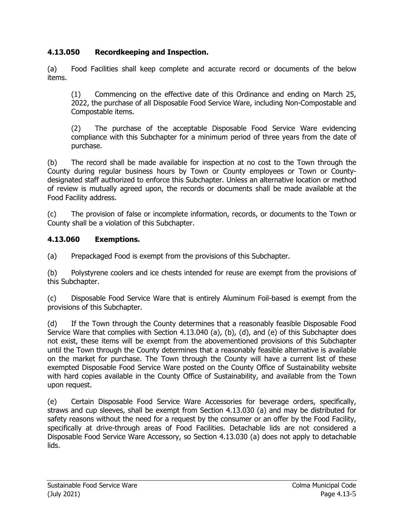# **4.13.050 Recordkeeping and Inspection.**

(a) Food Facilities shall keep complete and accurate record or documents of the below items.

(1) Commencing on the effective date of this Ordinance and ending on March 25, 2022, the purchase of all Disposable Food Service Ware, including Non-Compostable and Compostable items.

(2) The purchase of the acceptable Disposable Food Service Ware evidencing compliance with this Subchapter for a minimum period of three years from the date of purchase.

(b) The record shall be made available for inspection at no cost to the Town through the County during regular business hours by Town or County employees or Town or Countydesignated staff authorized to enforce this Subchapter. Unless an alternative location or method of review is mutually agreed upon, the records or documents shall be made available at the Food Facility address.

(c) The provision of false or incomplete information, records, or documents to the Town or County shall be a violation of this Subchapter.

#### **4.13.060 Exemptions.**

(a) Prepackaged Food is exempt from the provisions of this Subchapter.

(b) Polystyrene coolers and ice chests intended for reuse are exempt from the provisions of this Subchapter.

(c) Disposable Food Service Ware that is entirely Aluminum Foil-based is exempt from the provisions of this Subchapter.

(d) If the Town through the County determines that a reasonably feasible Disposable Food Service Ware that complies with Section 4.13.040 (a), (b), (d), and (e) of this Subchapter does not exist, these items will be exempt from the abovementioned provisions of this Subchapter until the Town through the County determines that a reasonably feasible alternative is available on the market for purchase. The Town through the County will have a current list of these exempted Disposable Food Service Ware posted on the County Office of Sustainability website with hard copies available in the County Office of Sustainability, and available from the Town upon request.

(e) Certain Disposable Food Service Ware Accessories for beverage orders, specifically, straws and cup sleeves, shall be exempt from Section 4.13.030 (a) and may be distributed for safety reasons without the need for a request by the consumer or an offer by the Food Facility, specifically at drive-through areas of Food Facilities. Detachable lids are not considered a Disposable Food Service Ware Accessory, so Section 4.13.030 (a) does not apply to detachable lids.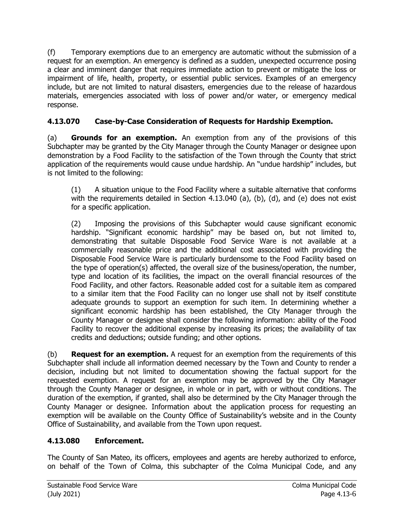(f) Temporary exemptions due to an emergency are automatic without the submission of a request for an exemption. An emergency is defined as a sudden, unexpected occurrence posing a clear and imminent danger that requires immediate action to prevent or mitigate the loss or impairment of life, health, property, or essential public services. Examples of an emergency include, but are not limited to natural disasters, emergencies due to the release of hazardous materials, emergencies associated with loss of power and/or water, or emergency medical response.

# **4.13.070 Case-by-Case Consideration of Requests for Hardship Exemption.**

(a) **Grounds for an exemption.** An exemption from any of the provisions of this Subchapter may be granted by the City Manager through the County Manager or designee upon demonstration by a Food Facility to the satisfaction of the Town through the County that strict application of the requirements would cause undue hardship. An "undue hardship" includes, but is not limited to the following:

(1) A situation unique to the Food Facility where a suitable alternative that conforms with the requirements detailed in Section 4.13.040 (a), (b), (d), and (e) does not exist for a specific application.

(2) Imposing the provisions of this Subchapter would cause significant economic hardship. "Significant economic hardship" may be based on, but not limited to, demonstrating that suitable Disposable Food Service Ware is not available at a commercially reasonable price and the additional cost associated with providing the Disposable Food Service Ware is particularly burdensome to the Food Facility based on the type of operation(s) affected, the overall size of the business/operation, the number, type and location of its facilities, the impact on the overall financial resources of the Food Facility, and other factors. Reasonable added cost for a suitable item as compared to a similar item that the Food Facility can no longer use shall not by itself constitute adequate grounds to support an exemption for such item. In determining whether a significant economic hardship has been established, the City Manager through the County Manager or designee shall consider the following information: ability of the Food Facility to recover the additional expense by increasing its prices; the availability of tax credits and deductions; outside funding; and other options.

(b) **Request for an exemption.** A request for an exemption from the requirements of this Subchapter shall include all information deemed necessary by the Town and County to render a decision, including but not limited to documentation showing the factual support for the requested exemption. A request for an exemption may be approved by the City Manager through the County Manager or designee, in whole or in part, with or without conditions. The duration of the exemption, if granted, shall also be determined by the City Manager through the County Manager or designee. Information about the application process for requesting an exemption will be available on the County Office of Sustainability's website and in the County Office of Sustainability, and available from the Town upon request.

# **4.13.080 Enforcement.**

The County of San Mateo, its officers, employees and agents are hereby authorized to enforce, on behalf of the Town of Colma, this subchapter of the Colma Municipal Code, and any